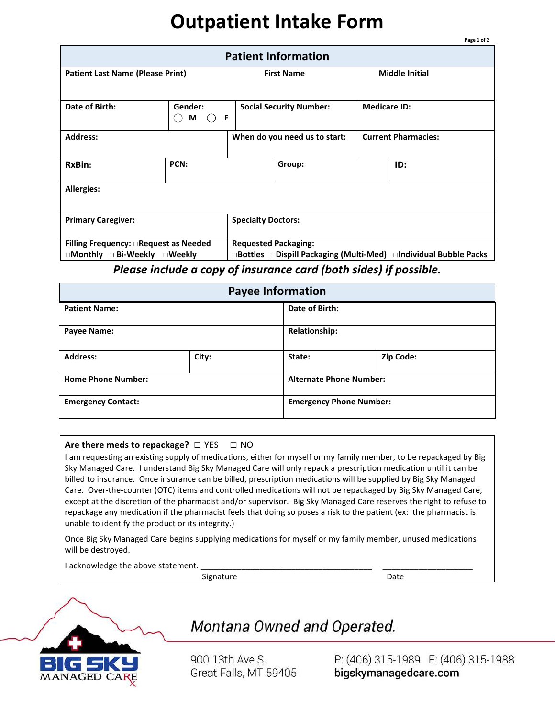## **Outpatient Intake Form**

| <b>Patient Information</b>                             |                                                                     |                                                                  |        |                            |                       |  |  |
|--------------------------------------------------------|---------------------------------------------------------------------|------------------------------------------------------------------|--------|----------------------------|-----------------------|--|--|
| <b>Patient Last Name (Please Print)</b>                |                                                                     | <b>First Name</b>                                                |        |                            | <b>Middle Initial</b> |  |  |
| Date of Birth:                                         | Gender:<br>-F<br>M<br>$\left( \begin{array}{c} \end{array} \right)$ | <b>Social Security Number:</b>                                   |        | <b>Medicare ID:</b>        |                       |  |  |
| <b>Address:</b>                                        |                                                                     | When do you need us to start:                                    |        | <b>Current Pharmacies:</b> |                       |  |  |
| RxBin:                                                 | PCN:                                                                |                                                                  | Group: |                            | ID:                   |  |  |
| <b>Allergies:</b>                                      |                                                                     |                                                                  |        |                            |                       |  |  |
| <b>Primary Caregiver:</b>                              |                                                                     | <b>Specialty Doctors:</b>                                        |        |                            |                       |  |  |
| <b>Filling Frequency: □Request as Needed</b>           |                                                                     | <b>Requested Packaging:</b>                                      |        |                            |                       |  |  |
| $\square$ Monthly $\square$ Bi-Weekly $\square$ Weekly |                                                                     | □Bottles □Dispill Packaging (Multi-Med) □Individual Bubble Packs |        |                            |                       |  |  |

*Please include a copy of insurance card (both sides) if possible.* 

| <b>Payee Information</b>  |       |                      |                                |  |  |
|---------------------------|-------|----------------------|--------------------------------|--|--|
| <b>Patient Name:</b>      |       | Date of Birth:       |                                |  |  |
| <b>Payee Name:</b>        |       | <b>Relationship:</b> |                                |  |  |
| <b>Address:</b>           | City: | State:               | Zip Code:                      |  |  |
| <b>Home Phone Number:</b> |       |                      | <b>Alternate Phone Number:</b> |  |  |
| <b>Emergency Contact:</b> |       |                      | <b>Emergency Phone Number:</b> |  |  |

## **Are there meds to repackage?** □ YES □ NO

I am requesting an existing supply of medications, either for myself or my family member, to be repackaged by Big Sky Managed Care. I understand Big Sky Managed Care will only repack a prescription medication until it can be billed to insurance. Once insurance can be billed, prescription medications will be supplied by Big Sky Managed Care. Over-the-counter (OTC) items and controlled medications will not be repackaged by Big Sky Managed Care, except at the discretion of the pharmacist and/or supervisor. Big Sky Managed Care reserves the right to refuse to repackage any medication if the pharmacist feels that doing so poses a risk to the patient (ex: the pharmacist is unable to identify the product or its integrity.)

Once Big Sky Managed Care begins supplying medications for myself or my family member, unused medications will be destroyed.

I acknowledge the above statement.

Signature Date



## Montana Owned and Operated.

900 13th Ave S. Great Falls, MT 59405

P: (406) 315-1989 F: (406) 315-1988 bigskymanagedcare.com

**Page 1 of 2**